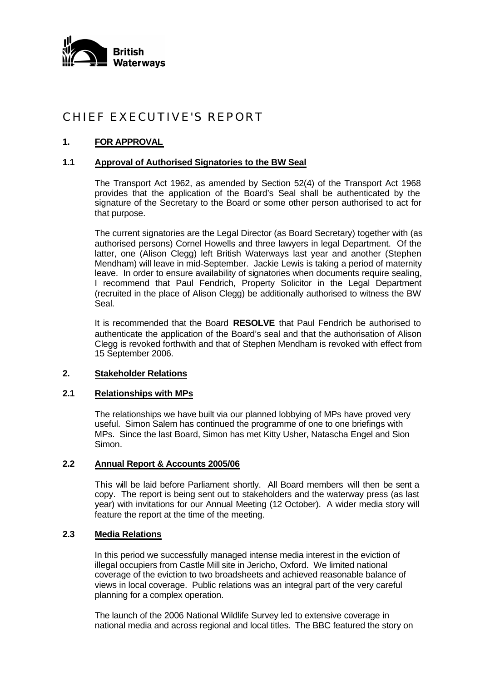

# CHIEF EXECUTIVE'S REPORT

# **1. FOR APPROVAL**

## **1.1 Approval of Authorised Signatories to the BW Seal**

The Transport Act 1962, as amended by Section 52(4) of the Transport Act 1968 provides that the application of the Board's Seal shall be authenticated by the signature of the Secretary to the Board or some other person authorised to act for that purpose.

The current signatories are the Legal Director (as Board Secretary) together with (as authorised persons) Cornel Howells and three lawyers in legal Department. Of the latter, one (Alison Clegg) left British Waterways last year and another (Stephen Mendham) will leave in mid-September. Jackie Lewis is taking a period of maternity leave. In order to ensure availability of signatories when documents require sealing, I recommend that Paul Fendrich, Property Solicitor in the Legal Department (recruited in the place of Alison Clegg) be additionally authorised to witness the BW Seal.

It is recommended that the Board **RESOLVE** that Paul Fendrich be authorised to authenticate the application of the Board's seal and that the authorisation of Alison Clegg is revoked forthwith and that of Stephen Mendham is revoked with effect from 15 September 2006.

#### **2. Stakeholder Relations**

#### **2.1 Relationships with MPs**

The relationships we have built via our planned lobbying of MPs have proved very useful. Simon Salem has continued the programme of one to one briefings with MPs. Since the last Board, Simon has met Kitty Usher, Natascha Engel and Sion Simon.

## **2.2 Annual Report & Accounts 2005/06**

This will be laid before Parliament shortly. All Board members will then be sent a copy. The report is being sent out to stakeholders and the waterway press (as last year) with invitations for our Annual Meeting (12 October). A wider media story will feature the report at the time of the meeting.

## **2.3 Media Relations**

In this period we successfully managed intense media interest in the eviction of illegal occupiers from Castle Mill site in Jericho, Oxford. We limited national coverage of the eviction to two broadsheets and achieved reasonable balance of views in local coverage. Public relations was an integral part of the very careful planning for a complex operation.

The launch of the 2006 National Wildlife Survey led to extensive coverage in national media and across regional and local titles. The BBC featured the story on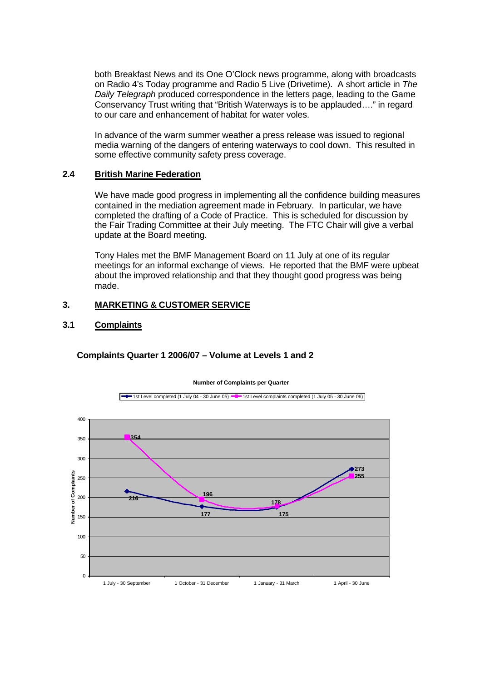both Breakfast News and its One O'Clock news programme, along with broadcasts on Radio 4's Today programme and Radio 5 Live (Drivetime). A short article in *The Daily Telegraph* produced correspondence in the letters page, leading to the Game Conservancy Trust writing that "British Waterways is to be applauded…." in regard to our care and enhancement of habitat for water voles.

In advance of the warm summer weather a press release was issued to regional media warning of the dangers of entering waterways to cool down. This resulted in some effective community safety press coverage.

#### **2.4 British Marine Federation**

We have made good progress in implementing all the confidence building measures contained in the mediation agreement made in February. In particular, we have completed the drafting of a Code of Practice. This is scheduled for discussion by the Fair Trading Committee at their July meeting. The FTC Chair will give a verbal update at the Board meeting.

Tony Hales met the BMF Management Board on 11 July at one of its regular meetings for an informal exchange of views. He reported that the BMF were upbeat about the improved relationship and that they thought good progress was being made.

## **3. MARKETING & CUSTOMER SERVICE**

## **3.1 Complaints**



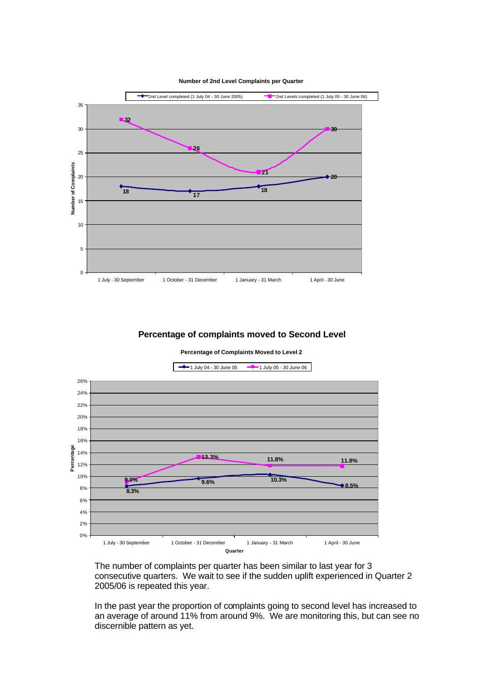



#### **Percentage of complaints moved to Second Level**

**Percentage of Complaints Moved to Level 2**



The number of complaints per quarter has been similar to last year for 3 consecutive quarters. We wait to see if the sudden uplift experienced in Quarter 2 2005/06 is repeated this year.

In the past year the proportion of complaints going to second level has increased to an average of around 11% from around 9%. We are monitoring this, but can see no discernible pattern as yet.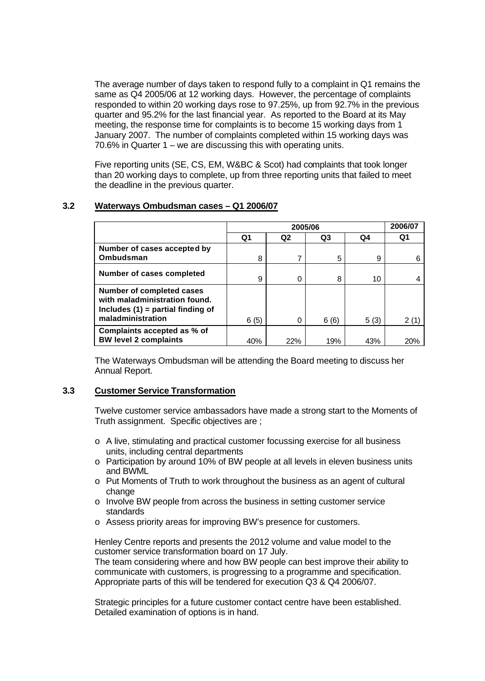The average number of days taken to respond fully to a complaint in Q1 remains the same as Q4 2005/06 at 12 working days. However, the percentage of complaints responded to within 20 working days rose to 97.25%, up from 92.7% in the previous quarter and 95.2% for the last financial year. As reported to the Board at its May meeting, the response time for complaints is to become 15 working days from 1 January 2007. The number of complaints completed within 15 working days was 70.6% in Quarter 1 – we are discussing this with operating units.

Five reporting units (SE, CS, EM, W&BC & Scot) had complaints that took longer than 20 working days to complete, up from three reporting units that failed to meet the deadline in the previous quarter.

#### **3.2 Waterways Ombudsman cases – Q1 2006/07**

|                                                                                                                               | 2005/06        |                |                |      | 2006/07 |
|-------------------------------------------------------------------------------------------------------------------------------|----------------|----------------|----------------|------|---------|
|                                                                                                                               | Q <sub>1</sub> | Q <sub>2</sub> | Q <sub>3</sub> | Q4   | Q1      |
| Number of cases accepted by<br>Ombudsman                                                                                      | 8              | 7              | 5              | 9    | 6       |
| Number of cases completed                                                                                                     | 9              | 0              | 8              | 10   |         |
| <b>Number of completed cases</b><br>with maladministration found.<br>Includes $(1)$ = partial finding of<br>maladministration | 6(5)           | 0              | 6(6)           | 5(3) | 2(1)    |
| Complaints accepted as % of<br><b>BW level 2 complaints</b>                                                                   | 40%            | 22%            | 19%            | 43%  | 20%     |

The Waterways Ombudsman will be attending the Board meeting to discuss her Annual Report.

#### **3.3 Customer Service Transformation**

Twelve customer service ambassadors have made a strong start to the Moments of Truth assignment. Specific objectives are ;

- $\circ$  A live, stimulating and practical customer focussing exercise for all business units, including central departments
- o Participation by around 10% of BW people at all levels in eleven business units and BWML
- o Put Moments of Truth to work throughout the business as an agent of cultural change
- o Involve BW people from across the business in setting customer service standards
- o Assess priority areas for improving BW's presence for customers.

Henley Centre reports and presents the 2012 volume and value model to the customer service transformation board on 17 July.

The team considering where and how BW people can best improve their ability to communicate with customers, is progressing to a programme and specification. Appropriate parts of this will be tendered for execution Q3 & Q4 2006/07.

Strategic principles for a future customer contact centre have been established. Detailed examination of options is in hand.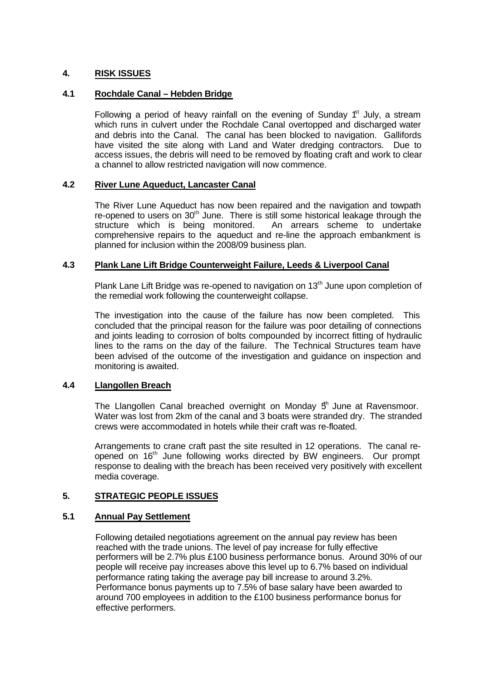# **4. RISK ISSUES**

## **4.1 Rochdale Canal – Hebden Bridge**

Following a period of heavy rainfall on the evening of Sunday  $f<sup>st</sup>$  July, a stream which runs in culvert under the Rochdale Canal overtopped and discharged water and debris into the Canal. The canal has been blocked to navigation. Gallifords have visited the site along with Land and Water dredging contractors. Due to access issues, the debris will need to be removed by floating craft and work to clear a channel to allow restricted navigation will now commence.

# **4.2 River Lune Aqueduct, Lancaster Canal**

The River Lune Aqueduct has now been repaired and the navigation and towpath re-opened to users on 30<sup>th</sup> June. There is still some historical leakage through the structure which is being monitored. An arrears scheme to undertake comprehensive repairs to the aqueduct and re-line the approach embankment is planned for inclusion within the 2008/09 business plan.

## **4.3 Plank Lane Lift Bridge Counterweight Failure, Leeds & Liverpool Canal**

Plank Lane Lift Bridge was re-opened to navigation on 13<sup>th</sup> June upon completion of the remedial work following the counterweight collapse.

The investigation into the cause of the failure has now been completed. This concluded that the principal reason for the failure was poor detailing of connections and joints leading to corrosion of bolts compounded by incorrect fitting of hydraulic lines to the rams on the day of the failure. The Technical Structures team have been advised of the outcome of the investigation and guidance on inspection and monitoring is awaited.

## **4.4 Llangollen Breach**

The Llangollen Canal breached overnight on Monday  $5<sup>h</sup>$  June at Ravensmoor. Water was lost from 2km of the canal and 3 boats were stranded dry. The stranded crews were accommodated in hotels while their craft was re-floated.

Arrangements to crane craft past the site resulted in 12 operations. The canal reopened on 16<sup>th</sup> June following works directed by BW engineers. Our prompt response to dealing with the breach has been received very positively with excellent media coverage.

## **5. STRATEGIC PEOPLE ISSUES**

## **5.1 Annual Pay Settlement**

Following detailed negotiations agreement on the annual pay review has been reached with the trade unions. The level of pay increase for fully effective performers will be 2.7% plus £100 business performance bonus. Around 30% of our people will receive pay increases above this level up to 6.7% based on individual performance rating taking the average pay bill increase to around 3.2%. Performance bonus payments up to 7.5% of base salary have been awarded to around 700 employees in addition to the £100 business performance bonus for effective performers.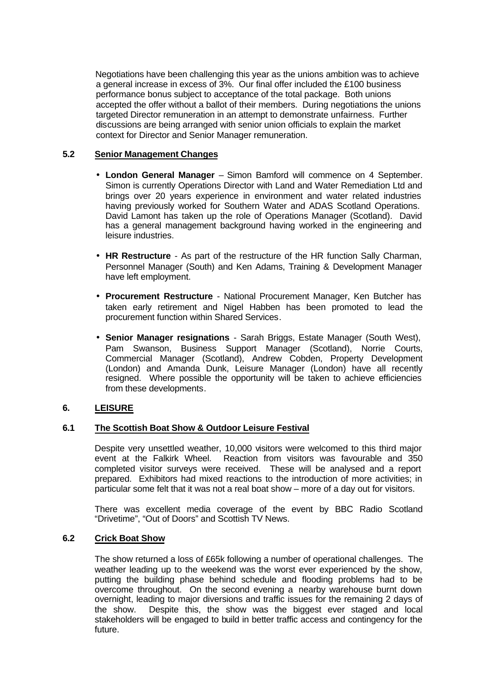Negotiations have been challenging this year as the unions ambition was to achieve a general increase in excess of 3%. Our final offer included the £100 business performance bonus subject to acceptance of the total package. Both unions accepted the offer without a ballot of their members. During negotiations the unions targeted Director remuneration in an attempt to demonstrate unfairness. Further discussions are being arranged with senior union officials to explain the market context for Director and Senior Manager remuneration.

## **5.2 Senior Management Changes**

- **London General Manager** Simon Bamford will commence on 4 September. Simon is currently Operations Director with Land and Water Remediation Ltd and brings over 20 years experience in environment and water related industries having previously worked for Southern Water and ADAS Scotland Operations. David Lamont has taken up the role of Operations Manager (Scotland). David has a general management background having worked in the engineering and leisure industries.
- **HR Restructure**  As part of the restructure of the HR function Sally Charman, Personnel Manager (South) and Ken Adams, Training & Development Manager have left employment.
- **Procurement Restructure** National Procurement Manager, Ken Butcher has taken early retirement and Nigel Habben has been promoted to lead the procurement function within Shared Services.
- **Senior Manager resignations** Sarah Briggs, Estate Manager (South West), Pam Swanson, Business Support Manager (Scotland), Norrie Courts, Commercial Manager (Scotland), Andrew Cobden, Property Development (London) and Amanda Dunk, Leisure Manager (London) have all recently resigned. Where possible the opportunity will be taken to achieve efficiencies from these developments.

# **6. LEISURE**

## **6.1 The Scottish Boat Show & Outdoor Leisure Festival**

Despite very unsettled weather, 10,000 visitors were welcomed to this third major event at the Falkirk Wheel. Reaction from visitors was favourable and 350 completed visitor surveys were received. These will be analysed and a report prepared. Exhibitors had mixed reactions to the introduction of more activities; in particular some felt that it was not a real boat show – more of a day out for visitors.

There was excellent media coverage of the event by BBC Radio Scotland "Drivetime", "Out of Doors" and Scottish TV News.

## **6.2 Crick Boat Show**

The show returned a loss of £65k following a number of operational challenges. The weather leading up to the weekend was the worst ever experienced by the show, putting the building phase behind schedule and flooding problems had to be overcome throughout. On the second evening a nearby warehouse burnt down overnight, leading to major diversions and traffic issues for the remaining 2 days of the show. Despite this, the show was the biggest ever staged and local stakeholders will be engaged to build in better traffic access and contingency for the future.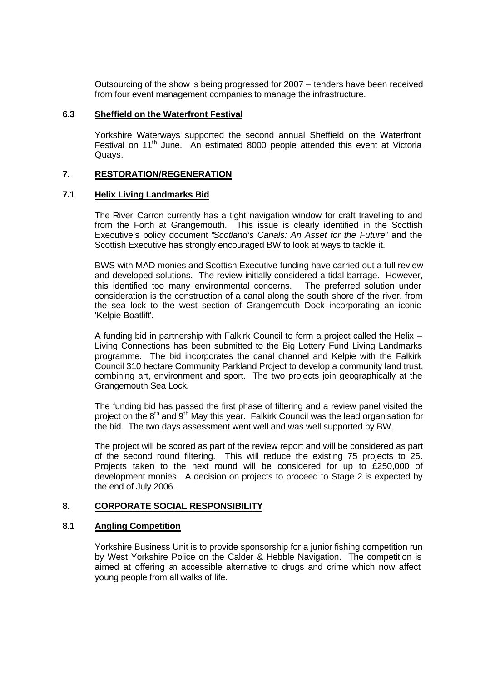Outsourcing of the show is being progressed for 2007 – tenders have been received from four event management companies to manage the infrastructure.

#### **6.3 Sheffield on the Waterfront Festival**

Yorkshire Waterways supported the second annual Sheffield on the Waterfront Festival on 11<sup>th</sup> June. An estimated 8000 people attended this event at Victoria Quays.

#### **7. RESTORATION/REGENERATION**

#### **7.1 Helix Living Landmarks Bid**

The River Carron currently has a tight navigation window for craft travelling to and from the Forth at Grangemouth. This issue is clearly identified in the Scottish Executive's policy document "*Scotland's Canals: An Asset for the Future*" and the Scottish Executive has strongly encouraged BW to look at ways to tackle it.

BWS with MAD monies and Scottish Executive funding have carried out a full review and developed solutions. The review initially considered a tidal barrage. However, this identified too many environmental concerns. The preferred solution under consideration is the construction of a canal along the south shore of the river, from the sea lock to the west section of Grangemouth Dock incorporating an iconic 'Kelpie Boatlift'.

A funding bid in partnership with Falkirk Council to form a project called the Helix – Living Connections has been submitted to the Big Lottery Fund Living Landmarks programme. The bid incorporates the canal channel and Kelpie with the Falkirk Council 310 hectare Community Parkland Project to develop a community land trust, combining art, environment and sport. The two projects join geographically at the Grangemouth Sea Lock.

The funding bid has passed the first phase of filtering and a review panel visited the project on the  $8<sup>th</sup>$  and  $9<sup>th</sup>$  May this year. Falkirk Council was the lead organisation for the bid. The two days assessment went well and was well supported by BW.

The project will be scored as part of the review report and will be considered as part of the second round filtering. This will reduce the existing 75 projects to 25. Projects taken to the next round will be considered for up to £250,000 of development monies. A decision on projects to proceed to Stage 2 is expected by the end of July 2006.

## **8. CORPORATE SOCIAL RESPONSIBILITY**

#### **8.1 Angling Competition**

Yorkshire Business Unit is to provide sponsorship for a junior fishing competition run by West Yorkshire Police on the Calder & Hebble Navigation. The competition is aimed at offering an accessible alternative to drugs and crime which now affect young people from all walks of life.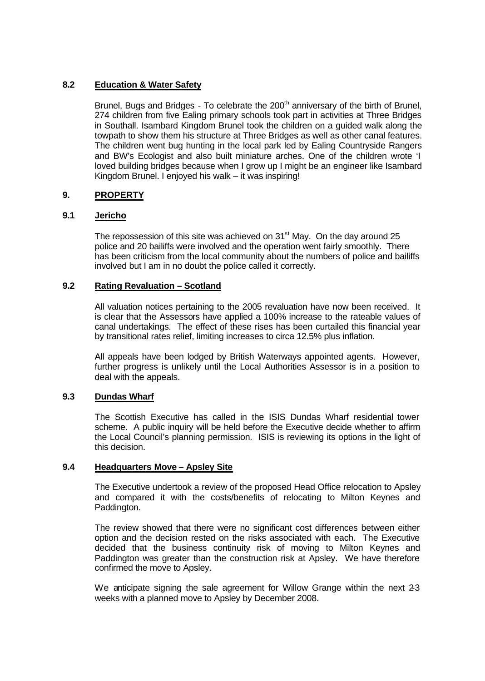## **8.2 Education & Water Safety**

Brunel, Bugs and Bridges - To celebrate the 200<sup>th</sup> anniversary of the birth of Brunel, 274 children from five Ealing primary schools took part in activities at Three Bridges in Southall. Isambard Kingdom Brunel took the children on a guided walk along the towpath to show them his structure at Three Bridges as well as other canal features. The children went bug hunting in the local park led by Ealing Countryside Rangers and BW's Ecologist and also built miniature arches. One of the children wrote 'I loved building bridges because when I grow up I might be an engineer like Isambard Kingdom Brunel. I enjoyed his walk – it was inspiring!

# **9. PROPERTY**

# **9.1 Jericho**

The repossession of this site was achieved on  $31<sup>st</sup>$  May. On the day around 25 police and 20 bailiffs were involved and the operation went fairly smoothly. There has been criticism from the local community about the numbers of police and bailiffs involved but I am in no doubt the police called it correctly.

## **9.2 Rating Revaluation – Scotland**

All valuation notices pertaining to the 2005 revaluation have now been received. It is clear that the Assessors have applied a 100% increase to the rateable values of canal undertakings. The effect of these rises has been curtailed this financial year by transitional rates relief, limiting increases to circa 12.5% plus inflation.

All appeals have been lodged by British Waterways appointed agents. However, further progress is unlikely until the Local Authorities Assessor is in a position to deal with the appeals.

## **9.3 Dundas Wharf**

The Scottish Executive has called in the ISIS Dundas Wharf residential tower scheme. A public inquiry will be held before the Executive decide whether to affirm the Local Council's planning permission. ISIS is reviewing its options in the light of this decision.

## **9.4 Headquarters Move – Apsley Site**

The Executive undertook a review of the proposed Head Office relocation to Apsley and compared it with the costs/benefits of relocating to Milton Keynes and Paddington.

The review showed that there were no significant cost differences between either option and the decision rested on the risks associated with each. The Executive decided that the business continuity risk of moving to Milton Keynes and Paddington was greater than the construction risk at Apsley. We have therefore confirmed the move to Apsley.

We anticipate signing the sale agreement for Willow Grange within the next 2-3 weeks with a planned move to Apsley by December 2008.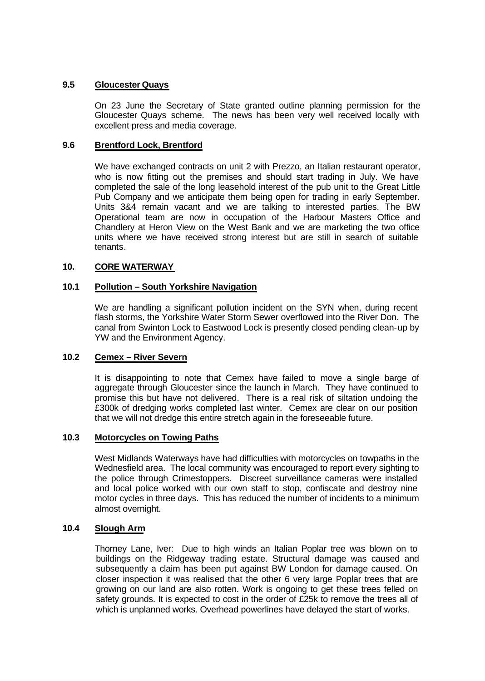## **9.5 Gloucester Quays**

On 23 June the Secretary of State granted outline planning permission for the Gloucester Quays scheme. The news has been very well received locally with excellent press and media coverage.

## **9.6 Brentford Lock, Brentford**

We have exchanged contracts on unit 2 with Prezzo, an Italian restaurant operator, who is now fitting out the premises and should start trading in July. We have completed the sale of the long leasehold interest of the pub unit to the Great Little Pub Company and we anticipate them being open for trading in early September. Units 3&4 remain vacant and we are talking to interested parties. The BW Operational team are now in occupation of the Harbour Masters Office and Chandlery at Heron View on the West Bank and we are marketing the two office units where we have received strong interest but are still in search of suitable tenants.

## **10. CORE WATERWAY**

## **10.1 Pollution – South Yorkshire Navigation**

We are handling a significant pollution incident on the SYN when, during recent flash storms, the Yorkshire Water Storm Sewer overflowed into the River Don. The canal from Swinton Lock to Eastwood Lock is presently closed pending clean-up by YW and the Environment Agency.

## **10.2 Cemex – River Severn**

It is disappointing to note that Cemex have failed to move a single barge of aggregate through Gloucester since the launch in March. They have continued to promise this but have not delivered. There is a real risk of siltation undoing the £300k of dredging works completed last winter. Cemex are clear on our position that we will not dredge this entire stretch again in the foreseeable future.

## **10.3 Motorcycles on Towing Paths**

West Midlands Waterways have had difficulties with motorcycles on towpaths in the Wednesfield area. The local community was encouraged to report every sighting to the police through Crimestoppers. Discreet surveillance cameras were installed and local police worked with our own staff to stop, confiscate and destroy nine motor cycles in three days. This has reduced the number of incidents to a minimum almost overnight.

## **10.4 Slough Arm**

Thorney Lane, Iver: Due to high winds an Italian Poplar tree was blown on to buildings on the Ridgeway trading estate. Structural damage was caused and subsequently a claim has been put against BW London for damage caused. On closer inspection it was realised that the other 6 very large Poplar trees that are growing on our land are also rotten. Work is ongoing to get these trees felled on safety grounds. It is expected to cost in the order of £25k to remove the trees all of which is unplanned works. Overhead powerlines have delayed the start of works.